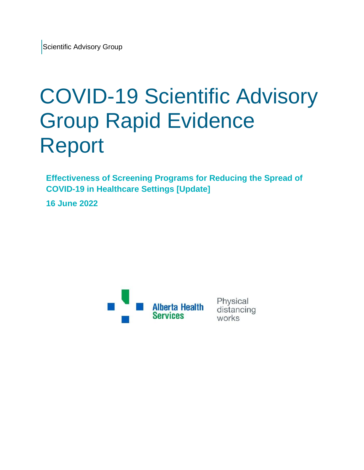# COVID-19 Scientific Advisory Group Rapid Evidence Report

**Effectiveness of Screening Programs for Reducing the Spread of COVID-19 in Healthcare Settings [Update]**

**16 June 2022**



Physical distancing works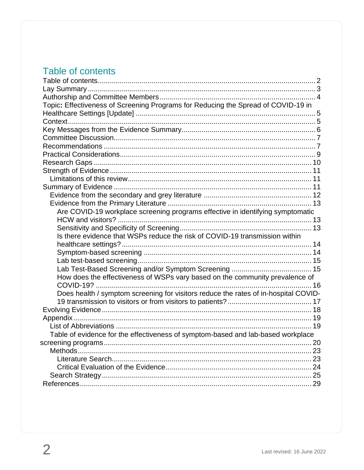# <span id="page-1-0"></span>Table of contents

| Topic: Effectiveness of Screening Programs for Reducing the Spread of COVID-19 in   |    |
|-------------------------------------------------------------------------------------|----|
|                                                                                     |    |
|                                                                                     |    |
|                                                                                     |    |
|                                                                                     |    |
|                                                                                     |    |
|                                                                                     |    |
|                                                                                     |    |
|                                                                                     |    |
|                                                                                     |    |
|                                                                                     |    |
|                                                                                     |    |
|                                                                                     |    |
| Are COVID-19 workplace screening programs effective in identifying symptomatic      |    |
|                                                                                     |    |
|                                                                                     |    |
| Is there evidence that WSPs reduce the risk of COVID-19 transmission within         |    |
|                                                                                     |    |
|                                                                                     |    |
|                                                                                     |    |
|                                                                                     |    |
| How does the effectiveness of WSPs vary based on the community prevalence of        |    |
|                                                                                     |    |
| Does health / symptom screening for visitors reduce the rates of in-hospital COVID- |    |
|                                                                                     |    |
|                                                                                     |    |
|                                                                                     |    |
|                                                                                     |    |
| Table of evidence for the effectiveness of symptom-based and lab-based workplace    |    |
|                                                                                     | 20 |
|                                                                                     |    |
|                                                                                     |    |
|                                                                                     |    |
|                                                                                     |    |
|                                                                                     |    |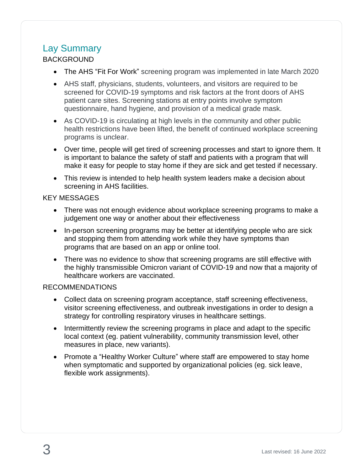## <span id="page-2-0"></span>Lay Summary

#### BACKGROUND

- The AHS "Fit For Work" screening program was implemented in late March 2020
- AHS staff, physicians, students, volunteers, and visitors are required to be screened for COVID-19 symptoms and risk factors at the front doors of AHS patient care sites. Screening stations at entry points involve symptom questionnaire, hand hygiene, and provision of a medical grade mask.
- As COVID-19 is circulating at high levels in the community and other public health restrictions have been lifted, the benefit of continued workplace screening programs is unclear.
- Over time, people will get tired of screening processes and start to ignore them. It is important to balance the safety of staff and patients with a program that will make it easy for people to stay home if they are sick and get tested if necessary.
- This review is intended to help health system leaders make a decision about screening in AHS facilities.

#### KEY MESSAGES

- There was not enough evidence about workplace screening programs to make a judgement one way or another about their effectiveness
- In-person screening programs may be better at identifying people who are sick and stopping them from attending work while they have symptoms than programs that are based on an app or online tool.
- There was no evidence to show that screening programs are still effective with the highly transmissible Omicron variant of COVID-19 and now that a majority of healthcare workers are vaccinated.

#### RECOMMENDATIONS

- Collect data on screening program acceptance, staff screening effectiveness, visitor screening effectiveness, and outbreak investigations in order to design a strategy for controlling respiratory viruses in healthcare settings.
- Intermittently review the screening programs in place and adapt to the specific local context (eg. patient vulnerability, community transmission level, other measures in place, new variants).
- Promote a "Healthy Worker Culture" where staff are empowered to stay home when symptomatic and supported by organizational policies (eg. sick leave, flexible work assignments).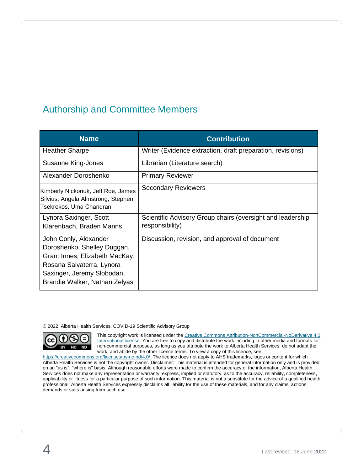## <span id="page-3-0"></span>Authorship and Committee Members

| <b>Name</b>                                                                                                                                                                        | <b>Contribution</b>                                                           |
|------------------------------------------------------------------------------------------------------------------------------------------------------------------------------------|-------------------------------------------------------------------------------|
| <b>Heather Sharpe</b>                                                                                                                                                              | Writer (Evidence extraction, draft preparation, revisions)                    |
| Susanne King-Jones                                                                                                                                                                 | Librarian (Literature search)                                                 |
| Alexander Doroshenko                                                                                                                                                               | <b>Primary Reviewer</b>                                                       |
| Kimberly Nickoriuk, Jeff Roe, James<br>Silvius, Angela Almstrong, Stephen<br>Tsekrekos, Uma Chandran                                                                               | <b>Secondary Reviewers</b>                                                    |
| Lynora Saxinger, Scott<br>Klarenbach, Braden Manns                                                                                                                                 | Scientific Advisory Group chairs (oversight and leadership<br>responsibility) |
| John Conly, Alexander<br>Doroshenko, Shelley Duggan,<br>Grant Innes, Elizabeth MacKay,<br>Rosana Salvaterra, Lynora<br>Saxinger, Jeremy Slobodan,<br>Brandie Walker, Nathan Zelyas | Discussion, revision, and approval of document                                |

© 2022, Alberta Health Services, COVID-19 Scientific Advisory Group



This copyright work is licensed under th[e Creative Commons Attribution-NonCommercial-NoDerivative 4.0](https://creativecommons.org/licenses/by-nc-nd/4.0/)  [International license.](https://creativecommons.org/licenses/by-nc-nd/4.0/) You are free to copy and distribute the work including in other media and formats for non-commercial purposes, as long as you attribute the work to Alberta Health Services, do not adapt the work, and abide by the other licence terms. To view a copy of this licence, see

[https://creativecommons.org/licenses/by-nc-nd/4.0/.](https://creativecommons.org/licenses/by-nc-nd/4.0/) The licence does not apply to AHS trademarks, logos or content for which Alberta Health Services is not the copyright owner. Disclaimer: This material is intended for general information only and is provided on an "as is", "where is" basis. Although reasonable efforts were made to confirm the accuracy of the information, Alberta Health Services does not make any representation or warranty, express, implied or statutory, as to the accuracy, reliability, completeness, applicability or fitness for a particular purpose of such information. This material is not a substitute for the advice of a qualified health professional. Alberta Health Services expressly disclaims all liability for the use of these materials, and for any claims, actions, demands or suits arising from such use.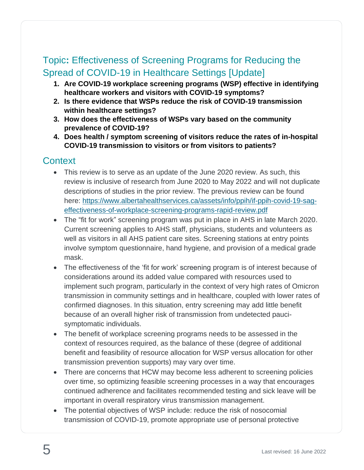# <span id="page-4-0"></span>Topic**:** Effectiveness of Screening Programs for Reducing the Spread of COVID-19 in Healthcare Settings [Update]

- **1. Are COVID-19 workplace screening programs (WSP) effective in identifying healthcare workers and visitors with COVID-19 symptoms?**
- **2. Is there evidence that WSPs reduce the risk of COVID-19 transmission within healthcare settings?**
- **3. How does the effectiveness of WSPs vary based on the community prevalence of COVID-19?**
- **4. Does health / symptom screening of visitors reduce the rates of in-hospital COVID-19 transmission to visitors or from visitors to patients?**

## <span id="page-4-1"></span>**Context**

- This review is to serve as an update of the June 2020 review. As such, this review is inclusive of research from June 2020 to May 2022 and will not duplicate descriptions of studies in the prior review. The previous review can be found here: [https://www.albertahealthservices.ca/assets/info/ppih/if-ppih-covid-19-sag](https://www.albertahealthservices.ca/assets/info/ppih/if-ppih-covid-19-sag-effectiveness-of-workplace-screening-programs-rapid-review.pdf)[effectiveness-of-workplace-screening-programs-rapid-review.pdf](https://www.albertahealthservices.ca/assets/info/ppih/if-ppih-covid-19-sag-effectiveness-of-workplace-screening-programs-rapid-review.pdf)
- The "fit for work" screening program was put in place in AHS in late March 2020. Current screening applies to AHS staff, physicians, students and volunteers as well as visitors in all AHS patient care sites. Screening stations at entry points involve symptom questionnaire, hand hygiene, and provision of a medical grade mask.
- The effectiveness of the 'fit for work' screening program is of interest because of considerations around its added value compared with resources used to implement such program, particularly in the context of very high rates of Omicron transmission in community settings and in healthcare, coupled with lower rates of confirmed diagnoses. In this situation, entry screening may add little benefit because of an overall higher risk of transmission from undetected paucisymptomatic individuals.
- The benefit of workplace screening programs needs to be assessed in the context of resources required, as the balance of these (degree of additional benefit and feasibility of resource allocation for WSP versus allocation for other transmission prevention supports) may vary over time.
- There are concerns that HCW may become less adherent to screening policies over time, so optimizing feasible screening processes in a way that encourages continued adherence and facilitates recommended testing and sick leave will be important in overall respiratory virus transmission management.
- The potential objectives of WSP include: reduce the risk of nosocomial transmission of COVID-19, promote appropriate use of personal protective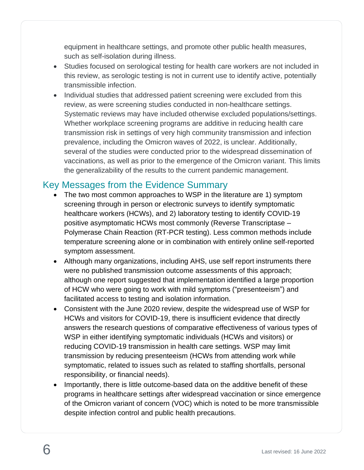equipment in healthcare settings, and promote other public health measures, such as self-isolation during illness.

- Studies focused on serological testing for health care workers are not included in this review, as serologic testing is not in current use to identify active, potentially transmissible infection.
- Individual studies that addressed patient screening were excluded from this review, as were screening studies conducted in non-healthcare settings. Systematic reviews may have included otherwise excluded populations/settings. Whether workplace screening programs are additive in reducing health care transmission risk in settings of very high community transmission and infection prevalence, including the Omicron waves of 2022, is unclear. Additionally, several of the studies were conducted prior to the widespread dissemination of vaccinations, as well as prior to the emergence of the Omicron variant. This limits the generalizability of the results to the current pandemic management.

## <span id="page-5-0"></span>Key Messages from the Evidence Summary

- The two most common approaches to WSP in the literature are 1) symptom screening through in person or electronic surveys to identify symptomatic healthcare workers (HCWs), and 2) laboratory testing to identify COVID-19 positive asymptomatic HCWs most commonly (Reverse Transcriptase – Polymerase Chain Reaction (RT-PCR testing). Less common methods include temperature screening alone or in combination with entirely online self-reported symptom assessment.
- Although many organizations, including AHS, use self report instruments there were no published transmission outcome assessments of this approach; although one report suggested that implementation identified a large proportion of HCW who were going to work with mild symptoms ("presenteeism") and facilitated access to testing and isolation information.
- Consistent with the June 2020 review, despite the widespread use of WSP for HCWs and visitors for COVID-19, there is insufficient evidence that directly answers the research questions of comparative effectiveness of various types of WSP in either identifying symptomatic individuals (HCWs and visitors) or reducing COVID-19 transmission in health care settings. WSP may limit transmission by reducing presenteeism (HCWs from attending work while symptomatic, related to issues such as related to staffing shortfalls, personal responsibility, or financial needs).
- Importantly, there is little outcome-based data on the additive benefit of these programs in healthcare settings after widespread vaccination or since emergence of the Omicron variant of concern (VOC) which is noted to be more transmissible despite infection control and public health precautions.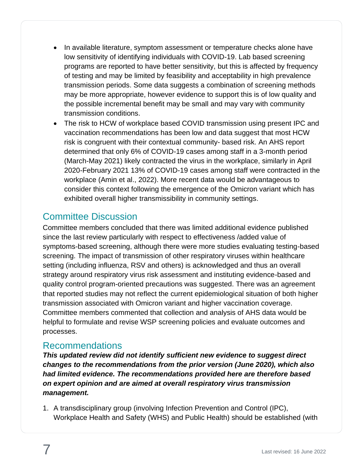- In available literature, symptom assessment or temperature checks alone have low sensitivity of identifying individuals with COVID-19. Lab based screening programs are reported to have better sensitivity, but this is affected by frequency of testing and may be limited by feasibility and acceptability in high prevalence transmission periods. Some data suggests a combination of screening methods may be more appropriate, however evidence to support this is of low quality and the possible incremental benefit may be small and may vary with community transmission conditions.
- The risk to HCW of workplace based COVID transmission using present IPC and vaccination recommendations has been low and data suggest that most HCW risk is congruent with their contextual community- based risk. An AHS report determined that only 6% of COVID-19 cases among staff in a 3-month period (March-May 2021) likely contracted the virus in the workplace, similarly in April 2020-February 2021 13% of COVID-19 cases among staff were contracted in the workplace (Amin et al., 2022). More recent data would be advantageous to consider this context following the emergence of the Omicron variant which has exhibited overall higher transmissibility in community settings.

## <span id="page-6-0"></span>Committee Discussion

Committee members concluded that there was limited additional evidence published since the last review particularly with respect to effectiveness /added value of symptoms-based screening, although there were more studies evaluating testing-based screening. The impact of transmission of other respiratory viruses within healthcare setting (including influenza, RSV and others) is acknowledged and thus an overall strategy around respiratory virus risk assessment and instituting evidence-based and quality control program-oriented precautions was suggested. There was an agreement that reported studies may not reflect the current epidemiological situation of both higher transmission associated with Omicron variant and higher vaccination coverage. Committee members commented that collection and analysis of AHS data would be helpful to formulate and revise WSP screening policies and evaluate outcomes and processes.

#### <span id="page-6-1"></span>Recommendations

*This updated review did not identify sufficient new evidence to suggest direct changes to the recommendations from the prior version (June 2020), which also had limited evidence. The recommendations provided here are therefore based on expert opinion and are aimed at overall respiratory virus transmission management.* 

1. A transdisciplinary group (involving Infection Prevention and Control (IPC), Workplace Health and Safety (WHS) and Public Health) should be established (with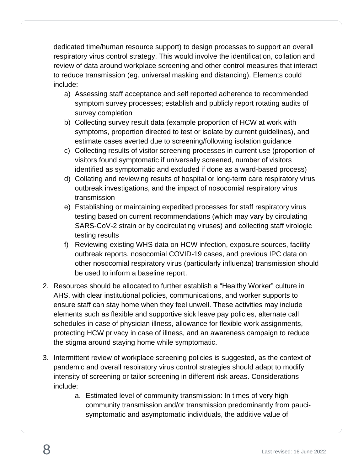dedicated time/human resource support) to design processes to support an overall respiratory virus control strategy. This would involve the identification, collation and review of data around workplace screening and other control measures that interact to reduce transmission (eg. universal masking and distancing). Elements could include:

- a) Assessing staff acceptance and self reported adherence to recommended symptom survey processes; establish and publicly report rotating audits of survey completion
- b) Collecting survey result data (example proportion of HCW at work with symptoms, proportion directed to test or isolate by current guidelines), and estimate cases averted due to screening/following isolation guidance
- c) Collecting results of visitor screening processes in current use (proportion of visitors found symptomatic if universally screened, number of visitors identified as symptomatic and excluded if done as a ward-based process)
- d) Collating and reviewing results of hospital or long-term care respiratory virus outbreak investigations, and the impact of nosocomial respiratory virus transmission
- e) Establishing or maintaining expedited processes for staff respiratory virus testing based on current recommendations (which may vary by circulating SARS-CoV-2 strain or by cocirculating viruses) and collecting staff virologic testing results
- f) Reviewing existing WHS data on HCW infection, exposure sources, facility outbreak reports, nosocomial COVID-19 cases, and previous IPC data on other nosocomial respiratory virus (particularly influenza) transmission should be used to inform a baseline report.
- 2. Resources should be allocated to further establish a "Healthy Worker" culture in AHS, with clear institutional policies, communications, and worker supports to ensure staff can stay home when they feel unwell. These activities may include elements such as flexible and supportive sick leave pay policies, alternate call schedules in case of physician illness, allowance for flexible work assignments, protecting HCW privacy in case of illness, and an awareness campaign to reduce the stigma around staying home while symptomatic.
- 3. Intermittent review of workplace screening policies is suggested, as the context of pandemic and overall respiratory virus control strategies should adapt to modify intensity of screening or tailor screening in different risk areas. Considerations include:
	- a. Estimated level of community transmission: In times of very high community transmission and/or transmission predominantly from paucisymptomatic and asymptomatic individuals, the additive value of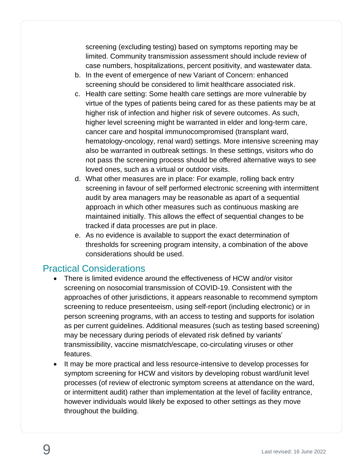screening (excluding testing) based on symptoms reporting may be limited. Community transmission assessment should include review of case numbers, hospitalizations, percent positivity, and wastewater data.

- b. In the event of emergence of new Variant of Concern: enhanced screening should be considered to limit healthcare associated risk.
- c. Health care setting: Some health care settings are more vulnerable by virtue of the types of patients being cared for as these patients may be at higher risk of infection and higher risk of severe outcomes. As such, higher level screening might be warranted in elder and long-term care, cancer care and hospital immunocompromised (transplant ward, hematology-oncology, renal ward) settings. More intensive screening may also be warranted in outbreak settings. In these settings, visitors who do not pass the screening process should be offered alternative ways to see loved ones, such as a virtual or outdoor visits.
- d. What other measures are in place: For example, rolling back entry screening in favour of self performed electronic screening with intermittent audit by area managers may be reasonable as apart of a sequential approach in which other measures such as continuous masking are maintained initially. This allows the effect of sequential changes to be tracked if data processes are put in place.
- e. As no evidence is available to support the exact determination of thresholds for screening program intensity, a combination of the above considerations should be used.

## <span id="page-8-0"></span>Practical Considerations

- There is limited evidence around the effectiveness of HCW and/or visitor screening on nosocomial transmission of COVID-19. Consistent with the approaches of other jurisdictions, it appears reasonable to recommend symptom screening to reduce presenteeism, using self-report (including electronic) or in person screening programs, with an access to testing and supports for isolation as per current guidelines. Additional measures (such as testing based screening) may be necessary during periods of elevated risk defined by variants' transmissibility, vaccine mismatch/escape, co-circulating viruses or other features.
- It may be more practical and less resource-intensive to develop processes for symptom screening for HCW and visitors by developing robust ward/unit level processes (of review of electronic symptom screens at attendance on the ward, or intermittent audit) rather than implementation at the level of facility entrance, however individuals would likely be exposed to other settings as they move throughout the building.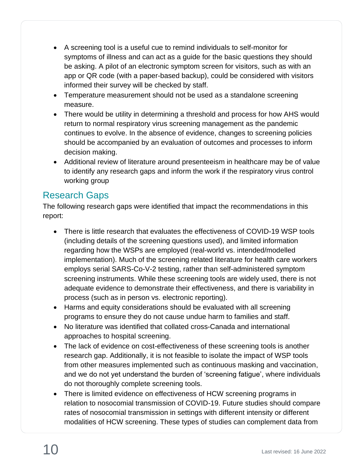- A screening tool is a useful cue to remind individuals to self-monitor for symptoms of illness and can act as a guide for the basic questions they should be asking. A pilot of an electronic symptom screen for visitors, such as with an app or QR code (with a paper-based backup), could be considered with visitors informed their survey will be checked by staff.
- Temperature measurement should not be used as a standalone screening measure.
- There would be utility in determining a threshold and process for how AHS would return to normal respiratory virus screening management as the pandemic continues to evolve. In the absence of evidence, changes to screening policies should be accompanied by an evaluation of outcomes and processes to inform decision making.
- Additional review of literature around presenteeism in healthcare may be of value to identify any research gaps and inform the work if the respiratory virus control working group

## <span id="page-9-0"></span>Research Gaps

The following research gaps were identified that impact the recommendations in this report:

- There is little research that evaluates the effectiveness of COVID-19 WSP tools (including details of the screening questions used), and limited information regarding how the WSPs are employed (real-world vs. intended/modelled implementation). Much of the screening related literature for health care workers employs serial SARS-Co-V-2 testing, rather than self-administered symptom screening instruments. While these screening tools are widely used, there is not adequate evidence to demonstrate their effectiveness, and there is variability in process (such as in person vs. electronic reporting).
- Harms and equity considerations should be evaluated with all screening programs to ensure they do not cause undue harm to families and staff.
- No literature was identified that collated cross-Canada and international approaches to hospital screening.
- The lack of evidence on cost-effectiveness of these screening tools is another research gap. Additionally, it is not feasible to isolate the impact of WSP tools from other measures implemented such as continuous masking and vaccination, and we do not yet understand the burden of 'screening fatigue', where individuals do not thoroughly complete screening tools.
- There is limited evidence on effectiveness of HCW screening programs in relation to nosocomial transmission of COVID-19. Future studies should compare rates of nosocomial transmission in settings with different intensity or different modalities of HCW screening. These types of studies can complement data from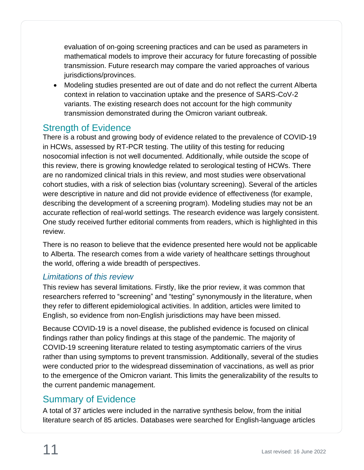evaluation of on-going screening practices and can be used as parameters in mathematical models to improve their accuracy for future forecasting of possible transmission. Future research may compare the varied approaches of various jurisdictions/provinces.

• Modeling studies presented are out of date and do not reflect the current Alberta context in relation to vaccination uptake and the presence of SARS-CoV-2 variants. The existing research does not account for the high community transmission demonstrated during the Omicron variant outbreak.

## <span id="page-10-0"></span>Strength of Evidence

There is a robust and growing body of evidence related to the prevalence of COVID-19 in HCWs, assessed by RT-PCR testing. The utility of this testing for reducing nosocomial infection is not well documented. Additionally, while outside the scope of this review, there is growing knowledge related to serological testing of HCWs. There are no randomized clinical trials in this review, and most studies were observational cohort studies, with a risk of selection bias (voluntary screening). Several of the articles were descriptive in nature and did not provide evidence of effectiveness (for example, describing the development of a screening program). Modeling studies may not be an accurate reflection of real-world settings. The research evidence was largely consistent. One study received further editorial comments from readers, which is highlighted in this review.

There is no reason to believe that the evidence presented here would not be applicable to Alberta. The research comes from a wide variety of healthcare settings throughout the world, offering a wide breadth of perspectives.

#### <span id="page-10-1"></span>*Limitations of this review*

This review has several limitations. Firstly, like the prior review, it was common that researchers referred to "screening" and "testing" synonymously in the literature, when they refer to different epidemiological activities. In addition, articles were limited to English, so evidence from non-English jurisdictions may have been missed.

Because COVID-19 is a novel disease, the published evidence is focused on clinical findings rather than policy findings at this stage of the pandemic. The majority of COVID-19 screening literature related to testing asymptomatic carriers of the virus rather than using symptoms to prevent transmission. Additionally, several of the studies were conducted prior to the widespread dissemination of vaccinations, as well as prior to the emergence of the Omicron variant. This limits the generalizability of the results to the current pandemic management.

## <span id="page-10-2"></span>Summary of Evidence

A total of 37 articles were included in the narrative synthesis below, from the initial literature search of 85 articles. Databases were searched for English-language articles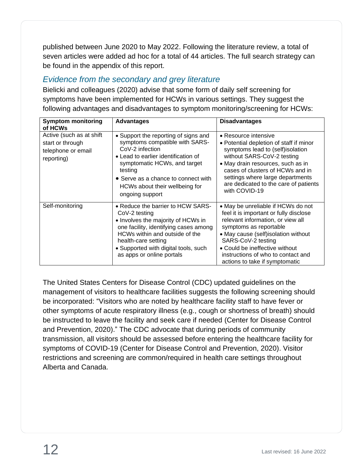published between June 2020 to May 2022. Following the literature review, a total of seven articles were added ad hoc for a total of 44 articles. The full search strategy can be found in the appendix of this report.

### <span id="page-11-0"></span>*Evidence from the secondary and grey literature*

Bielicki and colleagues (2020) advise that some form of daily self screening for symptoms have been implemented for HCWs in various settings. They suggest the following advantages and disadvantages to symptom monitoring/screening for HCWs:

| <b>Symptom monitoring</b><br>of HCWs                                             | <b>Advantages</b>                                                                                                                                                                                                                                                       | <b>Disadvantages</b>                                                                                                                                                                                                                                                                                                |
|----------------------------------------------------------------------------------|-------------------------------------------------------------------------------------------------------------------------------------------------------------------------------------------------------------------------------------------------------------------------|---------------------------------------------------------------------------------------------------------------------------------------------------------------------------------------------------------------------------------------------------------------------------------------------------------------------|
| Active (such as at shift<br>start or through<br>telephone or email<br>reporting) | • Support the reporting of signs and<br>symptoms compatible with SARS-<br>CoV-2 infection<br>• Lead to earlier identification of<br>symptomatic HCWs, and target<br>testing<br>• Serve as a chance to connect with<br>HCWs about their wellbeing for<br>ongoing support | • Resource intensive<br>• Potential depletion of staff if minor<br>symptoms lead to (self)isolation<br>without SARS-CoV-2 testing<br>• May drain resources, such as in<br>cases of clusters of HCWs and in<br>settings where large departments<br>are dedicated to the care of patients<br>with COVID-19            |
| Self-monitoring                                                                  | • Reduce the barrier to HCW SARS-<br>CoV-2 testing<br>• Involves the majority of HCWs in<br>one facility, identifying cases among<br>HCWs within and outside of the<br>health-care setting<br>• Supported with digital tools, such<br>as apps or online portals         | • May be unreliable if HCWs do not<br>feel it is important or fully disclose<br>relevant information, or view all<br>symptoms as reportable<br>• May cause (self) isolation without<br>SARS-CoV-2 testing<br>• Could be ineffective without<br>instructions of who to contact and<br>actions to take if symptomatic |

The United States Centers for Disease Control (CDC) updated guidelines on the management of visitors to healthcare facilities suggests the following screening should be incorporated: "Visitors who are noted by healthcare facility staff to have fever or other symptoms of acute respiratory illness (e.g., cough or shortness of breath) should be instructed to leave the facility and seek care if needed (Center for Disease Control and Prevention, 2020)." The CDC advocate that during periods of community transmission, all visitors should be assessed before entering the healthcare facility for symptoms of COVID-19 (Center for Disease Control and Prevention, 2020). Visitor restrictions and screening are common/required in health care settings throughout Alberta and Canada.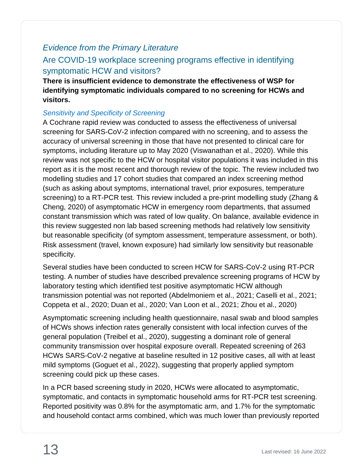#### <span id="page-12-0"></span>*Evidence from the Primary Literature*

#### <span id="page-12-1"></span>Are COVID-19 workplace screening programs effective in identifying symptomatic HCW and visitors?

**There is insufficient evidence to demonstrate the effectiveness of WSP for identifying symptomatic individuals compared to no screening for HCWs and visitors.** 

#### <span id="page-12-2"></span>*Sensitivity and Specificity of Screening*

A Cochrane rapid review was conducted to assess the effectiveness of universal screening for SARS-CoV-2 infection compared with no screening, and to assess the accuracy of universal screening in those that have not presented to clinical care for symptoms, including literature up to May 2020 (Viswanathan et al., 2020). While this review was not specific to the HCW or hospital visitor populations it was included in this report as it is the most recent and thorough review of the topic. The review included two modelling studies and 17 cohort studies that compared an index screening method (such as asking about symptoms, international travel, prior exposures, temperature screening) to a RT-PCR test. This review included a pre-print modelling study (Zhang & Cheng, 2020) of asymptomatic HCW in emergency room departments, that assumed constant transmission which was rated of low quality. On balance, available evidence in this review suggested non lab based screening methods had relatively low sensitivity but reasonable specificity (of symptom assessment, temperature assessment, or both). Risk assessment (travel, known exposure) had similarly low sensitivity but reasonable specificity.

Several studies have been conducted to screen HCW for SARS-CoV-2 using RT-PCR testing. A number of studies have described prevalence screening programs of HCW by laboratory testing which identified test positive asymptomatic HCW although transmission potential was not reported (Abdelmoniem et al., 2021; Caselli et al., 2021; Coppeta et al., 2020; Duan et al., 2020; Van Loon et al., 2021; Zhou et al., 2020)

Asymptomatic screening including health questionnaire, nasal swab and blood samples of HCWs shows infection rates generally consistent with local infection curves of the general population (Treibel et al., 2020), suggesting a dominant role of general community transmission over hospital exposure overall. Repeated screening of 263 HCWs SARS-CoV-2 negative at baseline resulted in 12 positive cases, all with at least mild symptoms (Goguet et al., 2022), suggesting that properly applied symptom screening could pick up these cases.

In a PCR based screening study in 2020, HCWs were allocated to asymptomatic, symptomatic, and contacts in symptomatic household arms for RT-PCR test screening. Reported positivity was 0.8% for the asymptomatic arm, and 1.7% for the symptomatic and household contact arms combined, which was much lower than previously reported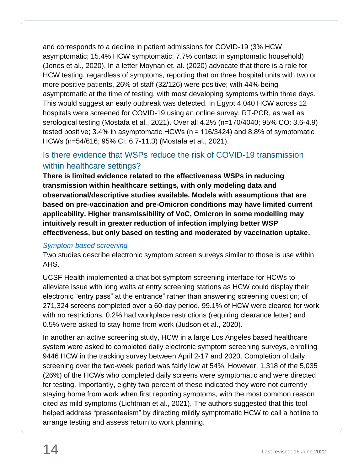and corresponds to a decline in patient admissions for COVID-19 (3% HCW asymptomatic; 15.4% HCW symptomatic; 7.7% contact in symptomatic household) (Jones et al., 2020). In a letter Moynan et. al. (2020) advocate that there is a role for HCW testing, regardless of symptoms, reporting that on three hospital units with two or more positive patients, 26% of staff (32/126) were positive; with 44% being asymptomatic at the time of testing, with most developing symptoms within three days. This would suggest an early outbreak was detected. In Egypt 4,040 HCW across 12 hospitals were screened for COVID-19 using an online survey, RT-PCR, as well as serological testing (Mostafa et al., 2021). Over all 4.2% (n=170/4040; 95% CO: 3.6-4.9) tested positive; 3.4% in asymptomatic HCWs (n = 116/3424) and 8.8% of symptomatic HCWs (n=54/616; 95% CI: 6.7-11.3) (Mostafa et al., 2021).

## <span id="page-13-0"></span>Is there evidence that WSPs reduce the risk of COVID-19 transmission within healthcare settings?

**There is limited evidence related to the effectiveness WSPs in reducing transmission within healthcare settings, with only modeling data and observational/descriptive studies available. Models with assumptions that are based on pre-vaccination and pre-Omicron conditions may have limited current applicability. Higher transmissibility of VoC, Omicron in some modelling may intuitively result in greater reduction of infection implying better WSP effectiveness, but only based on testing and moderated by vaccination uptake.**

#### <span id="page-13-1"></span>*Symptom-based screening*

Two studies describe electronic symptom screen surveys similar to those is use within AHS.

UCSF Health implemented a chat bot symptom screening interface for HCWs to alleviate issue with long waits at entry screening stations as HCW could display their electronic "entry pass" at the entrance" rather than answering screening question; of 271,324 screens completed over a 60-day period, 99.1% of HCW were cleared for work with no restrictions, 0.2% had workplace restrictions (requiring clearance letter) and 0.5% were asked to stay home from work (Judson et al., 2020).

In another an active screening study, HCW in a large Los Angeles based healthcare system were asked to completed daily electronic symptom screening surveys, enrolling 9446 HCW in the tracking survey between April 2-17 and 2020. Completion of daily screening over the two-week period was fairly low at 54%. However, 1,318 of the 5,035 (26%) of the HCWs who completed daily screens were symptomatic and were directed for testing. Importantly, eighty two percent of these indicated they were not currently staying home from work when first reporting symptoms, with the most common reason cited as mild symptoms (Lichtman et al., 2021). The authors suggested that this tool helped address "presenteeism" by directing mildly symptomatic HCW to call a hotline to arrange testing and assess return to work planning.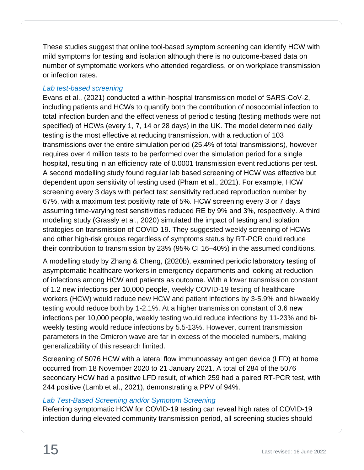These studies suggest that online tool-based symptom screening can identify HCW with mild symptoms for testing and isolation although there is no outcome-based data on number of symptomatic workers who attended regardless, or on workplace transmission or infection rates.

#### <span id="page-14-0"></span>*Lab test-based screening*

Evans et al., (2021) conducted a within-hospital transmission model of SARS-CoV-2, including patients and HCWs to quantify both the contribution of nosocomial infection to total infection burden and the effectiveness of periodic testing (testing methods were not specified) of HCWs (every 1, 7, 14 or 28 days) in the UK. The model determined daily testing is the most effective at reducing transmission, with a reduction of 103 transmissions over the entire simulation period (25.4% of total transmissions), however requires over 4 million tests to be performed over the simulation period for a single hospital, resulting in an efficiency rate of 0.0001 transmission event reductions per test. A second modelling study found regular lab based screening of HCW was effective but dependent upon sensitivity of testing used (Pham et al., 2021). For example, HCW screening every 3 days with perfect test sensitivity reduced reproduction number by 67%, with a maximum test positivity rate of 5%. HCW screening every 3 or 7 days assuming time-varying test sensitivities reduced RE by 9% and 3%, respectively. A third modeling study (Grassly et al., 2020) simulated the impact of testing and isolation strategies on transmission of COVID-19. They suggested weekly screening of HCWs and other high-risk groups regardless of symptoms status by RT-PCR could reduce their contribution to transmission by 23% (95% CI 16–40%) in the assumed conditions.

A modelling study by Zhang & Cheng, (2020b), examined periodic laboratory testing of asymptomatic healthcare workers in emergency departments and looking at reduction of infections among HCW and patients as outcome. With a lower transmission constant of 1.2 new infections per 10,000 people, weekly COVID-19 testing of healthcare workers (HCW) would reduce new HCW and patient infections by 3-5.9% and bi-weekly testing would reduce both by 1-2.1%. At a higher transmission constant of 3.6 new infections per 10,000 people, weekly testing would reduce infections by 11-23% and biweekly testing would reduce infections by 5.5-13%. However, current transmission parameters in the Omicron wave are far in excess of the modeled numbers, making generalizability of this research limited.

Screening of 5076 HCW with a lateral flow immunoassay antigen device (LFD) at home occurred from 18 November 2020 to 21 January 2021. A total of 284 of the 5076 secondary HCW had a positive LFD result, of which 259 had a paired RT-PCR test, with 244 positive (Lamb et al., 2021), demonstrating a PPV of 94%.

#### <span id="page-14-1"></span>*Lab Test-Based Screening and/or Symptom Screening*

Referring symptomatic HCW for COVID-19 testing can reveal high rates of COVID-19 infection during elevated community transmission period, all screening studies should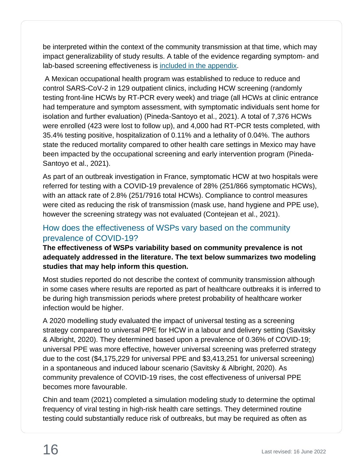be interpreted within the context of the community transmission at that time, which may impact generalizability of study results. A table of the evidence regarding symptom- and lab-based screening effectiveness is included in [the appendix.](#page-18-2)

A Mexican occupational health program was established to reduce to reduce and control SARS-CoV-2 in 129 outpatient clinics, including HCW screening (randomly testing front-line HCWs by RT-PCR every week) and triage (all HCWs at clinic entrance had temperature and symptom assessment, with symptomatic individuals sent home for isolation and further evaluation) (Pineda-Santoyo et al., 2021). A total of 7,376 HCWs were enrolled (423 were lost to follow up), and 4,000 had RT-PCR tests completed, with 35.4% testing positive, hospitalization of 0.11% and a lethality of 0.04%. The authors state the reduced mortality compared to other health care settings in Mexico may have been impacted by the occupational screening and early intervention program (Pineda-Santoyo et al., 2021).

As part of an outbreak investigation in France, symptomatic HCW at two hospitals were referred for testing with a COVID-19 prevalence of 28% (251/866 symptomatic HCWs), with an attack rate of 2.8% (251/7916 total HCWs). Compliance to control measures were cited as reducing the risk of transmission (mask use, hand hygiene and PPE use), however the screening strategy was not evaluated (Contejean et al., 2021).

#### <span id="page-15-0"></span>How does the effectiveness of WSPs vary based on the community prevalence of COVID-19?

**The effectiveness of WSPs variability based on community prevalence is not adequately addressed in the literature. The text below summarizes two modeling studies that may help inform this question.**

Most studies reported do not describe the context of community transmission although in some cases where results are reported as part of healthcare outbreaks it is inferred to be during high transmission periods where pretest probability of healthcare worker infection would be higher.

A 2020 modelling study evaluated the impact of universal testing as a screening strategy compared to universal PPE for HCW in a labour and delivery setting (Savitsky & Albright, 2020). They determined based upon a prevalence of 0.36% of COVID-19; universal PPE was more effective, however universal screening was preferred strategy due to the cost (\$4,175,229 for universal PPE and \$3,413,251 for universal screening) in a spontaneous and induced labour scenario (Savitsky & Albright, 2020). As community prevalence of COVID-19 rises, the cost effectiveness of universal PPE becomes more favourable.

Chin and team (2021) completed a simulation modeling study to determine the optimal frequency of viral testing in high-risk health care settings. They determined routine testing could substantially reduce risk of outbreaks, but may be required as often as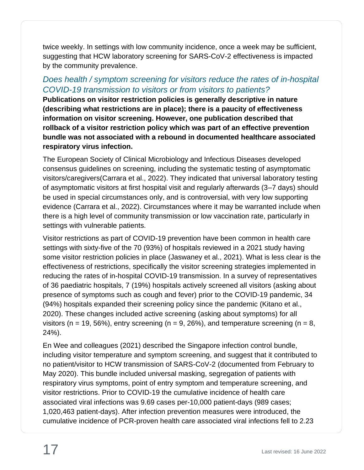twice weekly. In settings with low community incidence, once a week may be sufficient, suggesting that HCW laboratory screening for SARS-CoV-2 effectiveness is impacted by the community prevalence.

#### <span id="page-16-0"></span>*Does health / symptom screening for visitors reduce the rates of in-hospital COVID-19 transmission to visitors or from visitors to patients?*

**Publications on visitor restriction policies is generally descriptive in nature (describing what restrictions are in place); there is a paucity of effectiveness information on visitor screening. However, one publication described that rollback of a visitor restriction policy which was part of an effective prevention bundle was not associated with a rebound in documented healthcare associated respiratory virus infection.**

The European Society of Clinical Microbiology and Infectious Diseases developed consensus guidelines on screening, including the systematic testing of asymptomatic visitors/caregivers(Carrara et al., 2022). They indicated that universal laboratory testing of asymptomatic visitors at first hospital visit and regularly afterwards (3–7 days) should be used in special circumstances only, and is controversial, with very low supporting evidence (Carrara et al., 2022). Circumstances where it may be warranted include when there is a high level of community transmission or low vaccination rate, particularly in settings with vulnerable patients.

Visitor restrictions as part of COVID-19 prevention have been common in health care settings with sixty-five of the 70 (93%) of hospitals reviewed in a 2021 study having some visitor restriction policies in place (Jaswaney et al., 2021). What is less clear is the effectiveness of restrictions, specifically the visitor screening strategies implemented in reducing the rates of in-hospital COVID-19 transmission. In a survey of representatives of 36 paediatric hospitals, 7 (19%) hospitals actively screened all visitors (asking about presence of symptoms such as cough and fever) prior to the COVID-19 pandemic, 34 (94%) hospitals expanded their screening policy since the pandemic (Kitano et al., 2020). These changes included active screening (asking about symptoms) for all visitors (n = 19, 56%), entry screening (n = 9, 26%), and temperature screening (n = 8, 24%).

En Wee and colleagues (2021) described the Singapore infection control bundle, including visitor temperature and symptom screening, and suggest that it contributed to no patient/visitor to HCW transmission of SARS-CoV-2 (documented from February to May 2020). This bundle included universal masking, segregation of patients with respiratory virus symptoms, point of entry symptom and temperature screening, and visitor restrictions. Prior to COVID-19 the cumulative incidence of health care associated viral infections was 9.69 cases per-10,000 patient-days (989 cases; 1,020,463 patient-days). After infection prevention measures were introduced, the cumulative incidence of PCR-proven health care associated viral infections fell to 2.23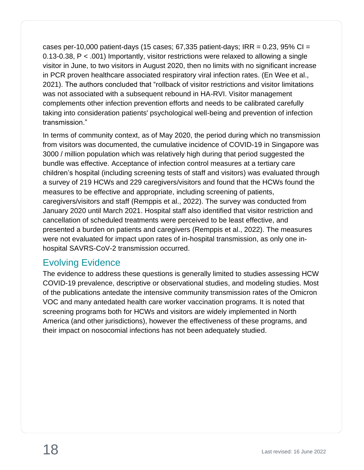cases per-10,000 patient-days (15 cases;  $67,335$  patient-days; IRR = 0.23, 95% CI = 0.13-0.38, P < .001) Importantly, visitor restrictions were relaxed to allowing a single visitor in June, to two visitors in August 2020, then no limits with no significant increase in PCR proven healthcare associated respiratory viral infection rates. (En Wee et al., 2021). The authors concluded that "rollback of visitor restrictions and visitor limitations was not associated with a subsequent rebound in HA-RVI. Visitor management complements other infection prevention efforts and needs to be calibrated carefully taking into consideration patients' psychological well-being and prevention of infection transmission."

In terms of community context, as of May 2020, the period during which no transmission from visitors was documented, the cumulative incidence of COVID-19 in Singapore was 3000 / million population which was relatively high during that period suggested the bundle was effective. Acceptance of infection control measures at a tertiary care children's hospital (including screening tests of staff and visitors) was evaluated through a survey of 219 HCWs and 229 caregivers/visitors and found that the HCWs found the measures to be effective and appropriate, including screening of patients, caregivers/visitors and staff (Remppis et al., 2022). The survey was conducted from January 2020 until March 2021. Hospital staff also identified that visitor restriction and cancellation of scheduled treatments were perceived to be least effective, and presented a burden on patients and caregivers (Remppis et al., 2022). The measures were not evaluated for impact upon rates of in-hospital transmission, as only one inhospital SAVRS-CoV-2 transmission occurred.

## <span id="page-17-0"></span>Evolving Evidence

The evidence to address these questions is generally limited to studies assessing HCW COVID-19 prevalence, descriptive or observational studies, and modeling studies. Most of the publications antedate the intensive community transmission rates of the Omicron VOC and many antedated health care worker vaccination programs. It is noted that screening programs both for HCWs and visitors are widely implemented in North America (and other jurisdictions), however the effectiveness of these programs, and their impact on nosocomial infections has not been adequately studied.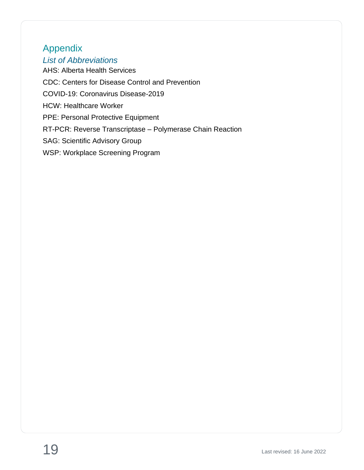# <span id="page-18-0"></span>Appendix

<span id="page-18-1"></span>*List of Abbreviations*

<span id="page-18-2"></span>AHS: Alberta Health Services CDC: Centers for Disease Control and Prevention COVID-19: Coronavirus Disease-2019 HCW: Healthcare Worker PPE: Personal Protective Equipment RT-PCR: Reverse Transcriptase – Polymerase Chain Reaction SAG: Scientific Advisory Group WSP: Workplace Screening Program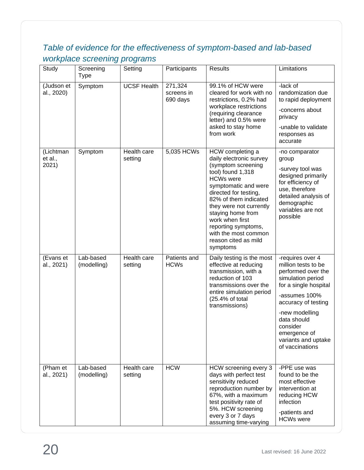## <span id="page-19-0"></span>*Table of evidence for the effectiveness of symptom-based and lab-based workplace screening programs*

| Study                         | Screening<br><b>Type</b> | Setting                | Participants                      | <b>Results</b>                                                                                                                                                                                                                                                                                                                             | Limitations                                                                                                                                                                                                                                                |
|-------------------------------|--------------------------|------------------------|-----------------------------------|--------------------------------------------------------------------------------------------------------------------------------------------------------------------------------------------------------------------------------------------------------------------------------------------------------------------------------------------|------------------------------------------------------------------------------------------------------------------------------------------------------------------------------------------------------------------------------------------------------------|
| (Judson et<br>al., 2020)      | Symptom                  | <b>UCSF Health</b>     | 271,324<br>screens in<br>690 days | 99.1% of HCW were<br>cleared for work with no<br>restrictions, 0.2% had<br>workplace restrictions<br>(requiring clearance<br>letter) and 0.5% were<br>asked to stay home<br>from work                                                                                                                                                      | -lack of<br>randomization due<br>to rapid deployment<br>-concerns about<br>privacy<br>-unable to validate<br>responses as<br>accurate                                                                                                                      |
| (Lichtman<br>et al.,<br>2021) | Symptom                  | Health care<br>setting | 5,035 HCWs                        | HCW completing a<br>daily electronic survey<br>(symptom screening<br>tool) found 1,318<br><b>HCWs</b> were<br>symptomatic and were<br>directed for testing,<br>82% of them indicated<br>they were not currently<br>staying home from<br>work when first<br>reporting symptoms,<br>with the most common<br>reason cited as mild<br>symptoms | -no comparator<br>group<br>-survey tool was<br>designed primarily<br>for efficiency of<br>use, therefore<br>detailed analysis of<br>demographic<br>variables are not<br>possible                                                                           |
| (Evans et<br>al., 2021)       | Lab-based<br>(modelling) | Health care<br>setting | Patients and<br><b>HCWs</b>       | Daily testing is the most<br>effective at reducing<br>transmission, with a<br>reduction of 103<br>transmissions over the<br>entire simulation period<br>(25.4% of total<br>transmissions)                                                                                                                                                  | -requires over 4<br>million tests to be<br>performed over the<br>simulation period<br>for a single hospital<br>-assumes 100%<br>accuracy of testing<br>-new modelling<br>data should<br>consider<br>emergence of<br>variants and uptake<br>of vaccinations |
| (Pham et<br>al., 2021)        | Lab-based<br>(modelling) | Health care<br>setting | <b>HCW</b>                        | HCW screening every 3<br>days with perfect test<br>sensitivity reduced<br>reproduction number by<br>67%, with a maximum<br>test positivity rate of<br>5%. HCW screening<br>every 3 or 7 days<br>assuming time-varying                                                                                                                      | -PPE use was<br>found to be the<br>most effective<br>intervention at<br>reducing HCW<br>infection<br>-patients and<br><b>HCWs were</b>                                                                                                                     |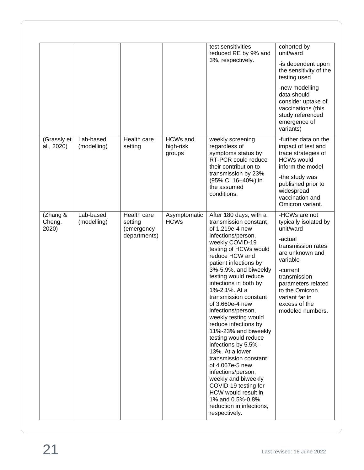|                             |                          |                                                      |                                        | test sensitivities<br>reduced RE by 9% and<br>3%, respectively.                                                                                                                                                                                                                                                                                                                                                                                                                                                                                                                                                                                                                                 | cohorted by<br>unit/ward<br>-is dependent upon<br>the sensitivity of the<br>testing used<br>-new modelling<br>data should<br>consider uptake of<br>vaccinations (this<br>study referenced<br>emergence of<br>variants)                         |
|-----------------------------|--------------------------|------------------------------------------------------|----------------------------------------|-------------------------------------------------------------------------------------------------------------------------------------------------------------------------------------------------------------------------------------------------------------------------------------------------------------------------------------------------------------------------------------------------------------------------------------------------------------------------------------------------------------------------------------------------------------------------------------------------------------------------------------------------------------------------------------------------|------------------------------------------------------------------------------------------------------------------------------------------------------------------------------------------------------------------------------------------------|
| (Grassly et<br>al., 2020)   | Lab-based<br>(modelling) | Health care<br>setting                               | <b>HCWs and</b><br>high-risk<br>groups | weekly screening<br>regardless of<br>symptoms status by<br>RT-PCR could reduce<br>their contribution to<br>transmission by 23%<br>(95% CI 16-40%) in<br>the assumed<br>conditions.                                                                                                                                                                                                                                                                                                                                                                                                                                                                                                              | -further data on the<br>impact of test and<br>trace strategies of<br><b>HCWs would</b><br>inform the model<br>-the study was<br>published prior to<br>widespread<br>vaccination and<br>Omicron variant.                                        |
| (Zhang &<br>Cheng,<br>2020) | Lab-based<br>(modelling) | Health care<br>setting<br>(emergency<br>departments) | Asymptomatic<br><b>HCWs</b>            | After 180 days, with a<br>transmission constant<br>of 1.219e-4 new<br>infections/person,<br>weekly COVID-19<br>testing of HCWs would<br>reduce HCW and<br>patient infections by<br>3%-5.9%, and biweekly<br>testing would reduce<br>infections in both by<br>1%-2.1%. At a<br>transmission constant<br>of 3.660e-4 new<br>infections/person,<br>weekly testing would<br>reduce infections by<br>11%-23% and biweekly<br>testing would reduce<br>infections by 5.5%-<br>13%. At a lower<br>transmission constant<br>of 4.067e-5 new<br>infections/person,<br>weekly and biweekly<br>COVID-19 testing for<br>HCW would result in<br>1% and 0.5%-0.8%<br>reduction in infections,<br>respectively. | -HCWs are not<br>typically isolated by<br>unit/ward<br>-actual<br>transmission rates<br>are unknown and<br>variable<br>-current<br>transmission<br>parameters related<br>to the Omicron<br>variant far in<br>excess of the<br>modeled numbers. |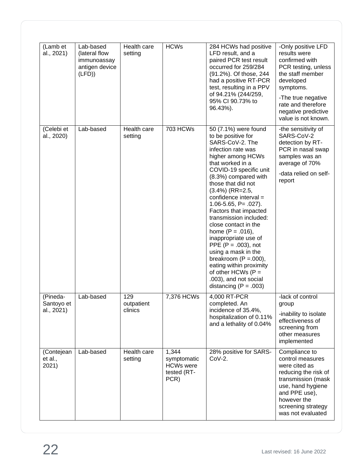| (Lamb et<br>al., 2021)               | Lab-based<br>(lateral flow<br>immunoassay<br>antigen device<br>(LFD) | Health care<br>setting       | <b>HCWs</b>                                                     | 284 HCWs had positive<br>LFD result, and a<br>paired PCR test result<br>occurred for 259/284<br>(91.2%). Of those, 244<br>had a positive RT-PCR<br>test, resulting in a PPV<br>of 94.21% (244/259,<br>95% CI 90.73% to<br>96.43%).                                                                                                                                                                                                                                                                                                                                                                      | -Only positive LFD<br>results were<br>confirmed with<br>PCR testing, unless<br>the staff member<br>developed<br>symptoms.<br>-The true negative<br>rate and therefore<br>negative predictive<br>value is not known. |
|--------------------------------------|----------------------------------------------------------------------|------------------------------|-----------------------------------------------------------------|---------------------------------------------------------------------------------------------------------------------------------------------------------------------------------------------------------------------------------------------------------------------------------------------------------------------------------------------------------------------------------------------------------------------------------------------------------------------------------------------------------------------------------------------------------------------------------------------------------|---------------------------------------------------------------------------------------------------------------------------------------------------------------------------------------------------------------------|
| (Celebi et<br>al., 2020)             | Lab-based                                                            | Health care<br>setting       | <b>703 HCWs</b>                                                 | 50 (7.1%) were found<br>to be positive for<br>SARS-CoV-2. The<br>infection rate was<br>higher among HCWs<br>that worked in a<br>COVID-19 specific unit<br>(8.3%) compared with<br>those that did not<br>$(3.4\%)$ (RR=2.5,<br>confidence interval $=$<br>$1.06 - 5.65$ , P= $.027$ ).<br>Factors that impacted<br>transmission included:<br>close contact in the<br>home $(P = .016)$ ,<br>inappropriate use of<br>PPE ( $P = .003$ ), not<br>using a mask in the<br>breakroom $(P = 0.000)$ ,<br>eating within proximity<br>of other HCWs $(P =$<br>.003), and not social<br>distancing ( $P = .003$ ) | -the sensitivity of<br>SARS-CoV-2<br>detection by RT-<br>PCR in nasal swap<br>samples was an<br>average of 70%<br>-data relied on self-<br>report                                                                   |
| (Pineda-<br>Santoyo et<br>al., 2021) | Lab-based                                                            | 129<br>outpatient<br>clinics | 7,376 HCWs                                                      | 4,000 RT-PCR<br>completed. An<br>incidence of 35.4%,<br>hospitalization of 0.11%<br>and a lethality of 0.04%                                                                                                                                                                                                                                                                                                                                                                                                                                                                                            | -lack of control<br>group<br>-inability to isolate<br>effectiveness of<br>screening from<br>other measures<br>implemented                                                                                           |
| (Contejean<br>et al.,<br>2021)       | Lab-based                                                            | Health care<br>setting       | 1,344<br>symptomatic<br><b>HCWs were</b><br>tested (RT-<br>PCR) | 28% positive for SARS-<br>$CoV-2.$                                                                                                                                                                                                                                                                                                                                                                                                                                                                                                                                                                      | Compliance to<br>control measures<br>were cited as<br>reducing the risk of<br>transmission (mask<br>use, hand hygiene<br>and PPE use),<br>however the<br>screening strategy<br>was not evaluated                    |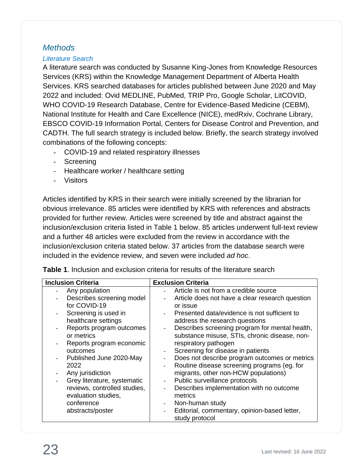#### <span id="page-22-0"></span>*Methods*

#### <span id="page-22-1"></span>*Literature Search*

A literature search was conducted by Susanne King-Jones from Knowledge Resources Services (KRS) within the Knowledge Management Department of Alberta Health Services. KRS searched databases for articles published between June 2020 and May 2022 and included: Ovid MEDLINE, PubMed, TRIP Pro, Google Scholar, LitCOVID, WHO COVID-19 Research Database, Centre for Evidence-Based Medicine (CEBM), National Institute for Health and Care Excellence (NICE), medRxiv, Cochrane Library, EBSCO COVID-19 Information Portal, Centers for Disease Control and Prevention, and CADTH. The full search strategy is included below. Briefly, the search strategy involved combinations of the following concepts:

- COVID-19 and related respiratory illnesses
- Screening
- Healthcare worker / healthcare setting
- Visitors

Articles identified by KRS in their search were initially screened by the librarian for obvious irrelevance. 85 articles were identified by KRS with references and abstracts provided for further review. Articles were screened by title and abstract against the inclusion/exclusion criteria listed in Table 1 below. 85 articles underwent full-text review and a further 48 articles were excluded from the review in accordance with the inclusion/exclusion criteria stated below. 37 articles from the database search were included in the evidence review, and seven were included *ad hoc*.

| <b>Inclusion Criteria</b>    | <b>Exclusion Criteria</b>                       |
|------------------------------|-------------------------------------------------|
| Any population               | Article is not from a credible source           |
| Describes screening model    | Article does not have a clear research question |
| for COVID-19                 | or issue                                        |
| Screening is used in         | Presented data/evidence is not sufficient to    |
| healthcare settings          | address the research questions                  |
| Reports program outcomes     | Describes screening program for mental health,  |
| or metrics                   | substance misuse, STIs, chronic disease, non-   |
| Reports program economic     | respiratory pathogen                            |
| outcomes                     | Screening for disease in patients               |
| Published June 2020-May      | Does not describe program outcomes or metrics   |
| 2022                         | Routine disease screening programs (eg. for     |
| Any jurisdiction             | migrants, other non-HCW populations)            |
| Grey literature, systematic  | Public surveillance protocols<br>$\blacksquare$ |
| reviews, controlled studies, | Describes implementation with no outcome        |
| evaluation studies,          | metrics                                         |
| conference                   | Non-human study                                 |
| abstracts/poster             | Editorial, commentary, opinion-based letter,    |
|                              | study protocol                                  |

**Table 1**. Inclusion and exclusion criteria for results of the literature search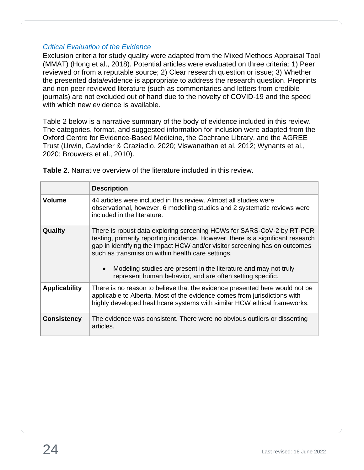#### <span id="page-23-0"></span>*Critical Evaluation of the Evidence*

Exclusion criteria for study quality were adapted from the Mixed Methods Appraisal Tool (MMAT) (Hong et al., 2018). Potential articles were evaluated on three criteria: 1) Peer reviewed or from a reputable source; 2) Clear research question or issue; 3) Whether the presented data/evidence is appropriate to address the research question. Preprints and non peer-reviewed literature (such as commentaries and letters from credible journals) are not excluded out of hand due to the novelty of COVID-19 and the speed with which new evidence is available.

Table 2 below is a narrative summary of the body of evidence included in this review. The categories, format, and suggested information for inclusion were adapted from the Oxford Centre for Evidence-Based Medicine, the Cochrane Library, and the AGREE Trust (Urwin, Gavinder & Graziadio, 2020; Viswanathan et al, 2012; Wynants et al., 2020; Brouwers et al., 2010).

|                      | <b>Description</b>                                                                                                                                                                                                                                                                                                                                                                                                                          |
|----------------------|---------------------------------------------------------------------------------------------------------------------------------------------------------------------------------------------------------------------------------------------------------------------------------------------------------------------------------------------------------------------------------------------------------------------------------------------|
| <b>Volume</b>        | 44 articles were included in this review. Almost all studies were<br>observational, however, 6 modelling studies and 2 systematic reviews were<br>included in the literature.                                                                                                                                                                                                                                                               |
| Quality              | There is robust data exploring screening HCWs for SARS-CoV-2 by RT-PCR<br>testing, primarily reporting incidence. However, there is a significant research<br>gap in identifying the impact HCW and/or visitor screening has on outcomes<br>such as transmission within health care settings.<br>Modeling studies are present in the literature and may not truly<br>$\bullet$<br>represent human behavior, and are often setting specific. |
| <b>Applicability</b> | There is no reason to believe that the evidence presented here would not be<br>applicable to Alberta. Most of the evidence comes from jurisdictions with<br>highly developed healthcare systems with similar HCW ethical frameworks.                                                                                                                                                                                                        |
| <b>Consistency</b>   | The evidence was consistent. There were no obvious outliers or dissenting<br>articles.                                                                                                                                                                                                                                                                                                                                                      |

**Table 2**. Narrative overview of the literature included in this review.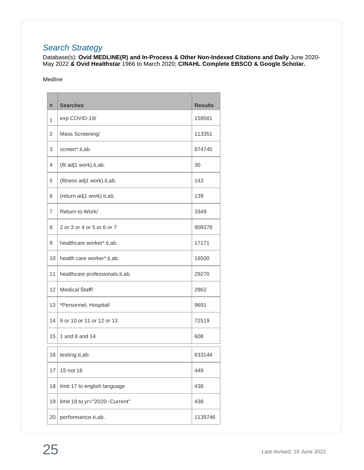## <span id="page-24-0"></span>*Search Strategy*

Database(s): **Ovid MEDLINE(R) and In-Process & Other Non-Indexed Citations and Daily** June 2020- May 2022 **& Ovid Healthstar** 1966 to March 2020; **CINAHL Complete EBSCO & Google Scholar.**

#### Medline

| #  | <b>Searches</b>                 | <b>Results</b> |
|----|---------------------------------|----------------|
| 1  | exp COVID-19/                   | 159581         |
| 2  | Mass Screening/                 | 113351         |
| 3  | screen*.ti,ab.                  | 874745         |
| 4  | (fit adj1 work).ti,ab.          | 30             |
| 5  | (fitness adj1 work).ti,ab.      | 143            |
| 6  | (return adj1 work).ti,ab.       | 139            |
| 7  | Return to Work/                 | 3349           |
| 8  | 2 or 3 or 4 or 5 or 6 or 7      | 908378         |
| 9  | healthcare worker*.ti,ab.       | 17171          |
| 10 | health care worker*.ti,ab.      | 16500          |
| 11 | healthcare professionals.ti,ab. | 29270          |
| 12 | Medical Staff/                  | 2862           |
| 13 | *Personnel, Hospital/           | 9691           |
| 14 | 9 or 10 or 11 or 12 or 13       | 72519          |
| 15 | 1 and 8 and 14                  | 608            |
| 16 | testing.ti,ab.                  | 633144         |
| 17 | 15 not 16                       | 449            |
| 18 | limit 17 to english language    | 438            |
| 19 | limit 18 to yr="2020 -Current"  | 438            |
| 20 | performance.ti,ab.              | 1139746        |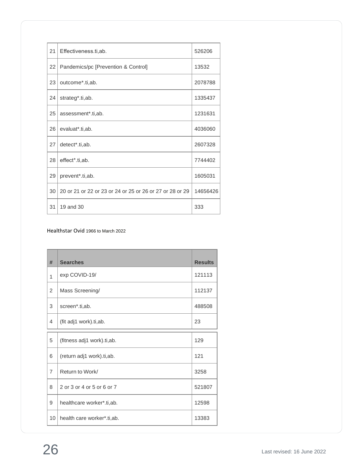| 21 | Effectiveness.ti,ab.                                     | 526206   |
|----|----------------------------------------------------------|----------|
| 22 | Pandemics/pc [Prevention & Control]                      | 13532    |
| 23 | outcome*.ti,ab.                                          | 2078788  |
| 24 | strateg*.ti,ab.                                          | 1335437  |
| 25 | assessment*.ti,ab.                                       | 1231631  |
| 26 | evaluat*.ti,ab.                                          | 4036060  |
| 27 | detect*.ti,ab.                                           | 2607328  |
| 28 | effect*.ti,ab.                                           | 7744402  |
| 29 | prevent*.ti,ab.                                          | 1605031  |
| 30 | 20 or 21 or 22 or 23 or 24 or 25 or 26 or 27 or 28 or 29 | 14656426 |
| 31 | 19 and 30                                                | 333      |

#### Healthstar Ovid 1966 to March 2022

| #              | <b>Searches</b>            | <b>Results</b> |
|----------------|----------------------------|----------------|
| 1              | exp COVID-19/              | 121113         |
| $\overline{2}$ | Mass Screening/            | 112137         |
| 3              | screen*.ti,ab.             | 488508         |
| 4              | (fit adj1 work).ti,ab.     | 23             |
| 5              | (fitness adj1 work).ti,ab. | 129            |
| 6              | (return adj1 work).ti,ab.  | 121            |
| $\overline{7}$ | Return to Work/            | 3258           |
| 8              | 2 or 3 or 4 or 5 or 6 or 7 | 521807         |
| 9              | healthcare worker*.ti,ab.  | 12598          |
| 10             | health care worker*.ti,ab. | 13383          |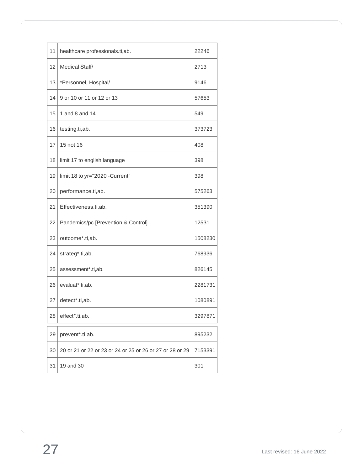| 11 | healthcare professionals.ti,ab.                          | 22246   |
|----|----------------------------------------------------------|---------|
| 12 | Medical Staff/                                           | 2713    |
| 13 | *Personnel, Hospital/                                    | 9146    |
| 14 | 9 or 10 or 11 or 12 or 13                                | 57653   |
| 15 | 1 and 8 and 14                                           | 549     |
| 16 | testing.ti,ab.                                           | 373723  |
| 17 | 15 not 16                                                | 408     |
| 18 | limit 17 to english language                             | 398     |
| 19 | limit 18 to yr="2020 -Current"                           | 398     |
| 20 | performance.ti,ab.                                       | 575263  |
| 21 | Effectiveness.ti,ab.                                     | 351390  |
| 22 | Pandemics/pc [Prevention & Control]                      | 12531   |
| 23 | outcome*.ti,ab.                                          | 1508230 |
| 24 | strateg*.ti,ab.                                          | 768936  |
| 25 | assessment*.ti,ab.                                       | 826145  |
| 26 | evaluat*.ti,ab.                                          | 2281731 |
| 27 | detect*.ti,ab.                                           | 1080891 |
| 28 | effect*.ti,ab.                                           | 3297871 |
| 29 | prevent*.ti,ab.                                          | 895232  |
| 30 | 20 or 21 or 22 or 23 or 24 or 25 or 26 or 27 or 28 or 29 | 7153391 |
| 31 | 19 and 30                                                | 301     |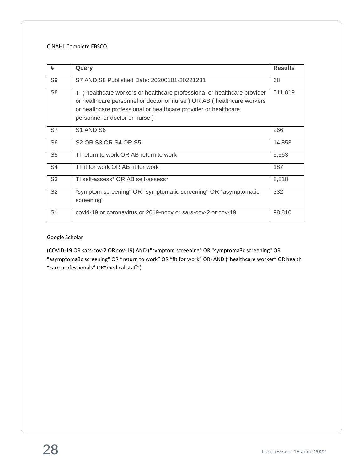#### CINAHL Complete EBSCO

| #              | Query                                                                                                                                                                                                                                                  | <b>Results</b> |
|----------------|--------------------------------------------------------------------------------------------------------------------------------------------------------------------------------------------------------------------------------------------------------|----------------|
| S <sub>9</sub> | S7 AND S8 Published Date: 20200101-20221231                                                                                                                                                                                                            | 68             |
| S <sub>8</sub> | TI (healthcare workers or healthcare professional or healthcare provider<br>or healthcare personnel or doctor or nurse ) OR AB (healthcare workers<br>or healthcare professional or healthcare provider or healthcare<br>personnel or doctor or nurse) | 511,819        |
| S7             | S1 AND S6                                                                                                                                                                                                                                              | 266            |
| S <sub>6</sub> | S <sub>2</sub> OR S <sub>3</sub> OR S <sub>4</sub> OR S <sub>5</sub>                                                                                                                                                                                   | 14,853         |
| S <sub>5</sub> | TI return to work OR AB return to work                                                                                                                                                                                                                 | 5,563          |
| S <sub>4</sub> | TI fit for work OR AB fit for work                                                                                                                                                                                                                     | 187            |
| S <sub>3</sub> | TI self-assess* OR AB self-assess*                                                                                                                                                                                                                     | 8,818          |
| S <sub>2</sub> | "symptom screening" OR "symptomatic screening" OR "asymptomatic<br>screening"                                                                                                                                                                          | 332            |
| S <sub>1</sub> | covid-19 or coronavirus or 2019-ncov or sars-cov-2 or cov-19                                                                                                                                                                                           | 98,810         |

#### Google Scholar

(COVID-19 OR sars-cov-2 OR cov-19) AND ("symptom screening" OR "symptoma3c screening" OR "asymptoma3c screening" OR "return to work" OR "fit for work" OR) AND ("healthcare worker" OR health "care professionals" OR"medical staff")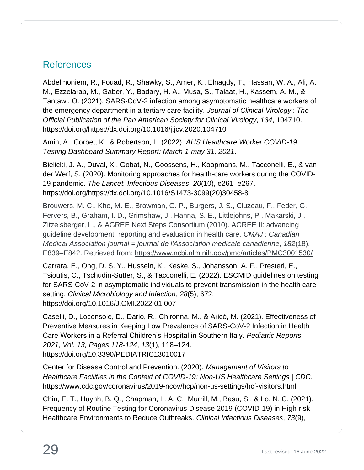## <span id="page-28-0"></span>References

Abdelmoniem, R., Fouad, R., Shawky, S., Amer, K., Elnagdy, T., Hassan, W. A., Ali, A. M., Ezzelarab, M., Gaber, Y., Badary, H. A., Musa, S., Talaat, H., Kassem, A. M., & Tantawi, O. (2021). SARS-CoV-2 infection among asymptomatic healthcare workers of the emergency department in a tertiary care facility. *Journal of Clinical Virology : The Official Publication of the Pan American Society for Clinical Virology*, *134*, 104710. https://doi.org/https://dx.doi.org/10.1016/j.jcv.2020.104710

Amin, A., Corbet, K., & Robertson, L. (2022). *AHS Healthcare Worker COVID-19 Testing Dashboard Summary Report: March 1-may 31, 2021*.

Bielicki, J. A., Duval, X., Gobat, N., Goossens, H., Koopmans, M., Tacconelli, E., & van der Werf, S. (2020). Monitoring approaches for health-care workers during the COVID-19 pandemic. *The Lancet. Infectious Diseases*, *20*(10), e261–e267. https://doi.org/https://dx.doi.org/10.1016/S1473-3099(20)30458-8

Brouwers, M. C., Kho, M. E., Browman, G. P., Burgers, J. S., Cluzeau, F., Feder, G., Fervers, B., Graham, I. D., Grimshaw, J., Hanna, S. E., Littlejohns, P., Makarski, J., Zitzelsberger, L., & AGREE Next Steps Consortium (2010). AGREE II: advancing guideline development, reporting and evaluation in health care. *CMAJ : Canadian Medical Association journal = journal de l'Association medicale canadienne*, *182*(18), E839–E842. Retrieved from:<https://www.ncbi.nlm.nih.gov/pmc/articles/PMC3001530/>

Carrara, E., Ong, D. S. Y., Hussein, K., Keske, S., Johansson, A. F., Presterl, E., Tsioutis, C., Tschudin-Sutter, S., & Tacconelli, E. (2022). ESCMID guidelines on testing for SARS-CoV-2 in asymptomatic individuals to prevent transmission in the health care setting. *Clinical Microbiology and Infection*, *28*(5), 672. https://doi.org/10.1016/J.CMI.2022.01.007

Caselli, D., Loconsole, D., Dario, R., Chironna, M., & Aricò, M. (2021). Effectiveness of Preventive Measures in Keeping Low Prevalence of SARS-CoV-2 Infection in Health Care Workers in a Referral Children's Hospital in Southern Italy. *Pediatric Reports 2021, Vol. 13, Pages 118-124*, *13*(1), 118–124. https://doi.org/10.3390/PEDIATRIC13010017

Center for Disease Control and Prevention. (2020). *Management of Visitors to Healthcare Facilities in the Context of COVID-19: Non-US Healthcare Settings | CDC*. https://www.cdc.gov/coronavirus/2019-ncov/hcp/non-us-settings/hcf-visitors.html

Chin, E. T., Huynh, B. Q., Chapman, L. A. C., Murrill, M., Basu, S., & Lo, N. C. (2021). Frequency of Routine Testing for Coronavirus Disease 2019 (COVID-19) in High-risk Healthcare Environments to Reduce Outbreaks. *Clinical Infectious Diseases*, *73*(9),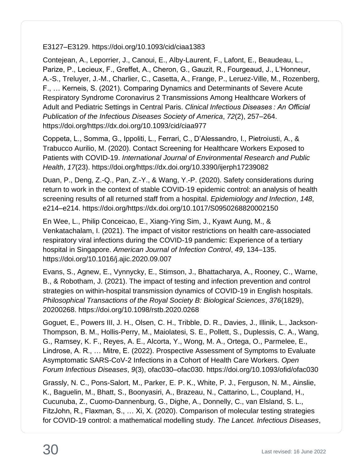E3127–E3129. https://doi.org/10.1093/cid/ciaa1383

Contejean, A., Leporrier, J., Canoui, E., Alby-Laurent, F., Lafont, E., Beaudeau, L., Parize, P., Lecieux, F., Greffet, A., Cheron, G., Gauzit, R., Fourgeaud, J., L'Honneur, A.-S., Treluyer, J.-M., Charlier, C., Casetta, A., Frange, P., Leruez-Ville, M., Rozenberg, F., … Kerneis, S. (2021). Comparing Dynamics and Determinants of Severe Acute Respiratory Syndrome Coronavirus 2 Transmissions Among Healthcare Workers of Adult and Pediatric Settings in Central Paris. *Clinical Infectious Diseases : An Official Publication of the Infectious Diseases Society of America*, *72*(2), 257–264. https://doi.org/https://dx.doi.org/10.1093/cid/ciaa977

Coppeta, L., Somma, G., Ippoliti, L., Ferrari, C., D'Alessandro, I., Pietroiusti, A., & Trabucco Aurilio, M. (2020). Contact Screening for Healthcare Workers Exposed to Patients with COVID-19. *International Journal of Environmental Research and Public Health*, *17*(23). https://doi.org/https://dx.doi.org/10.3390/ijerph17239082

Duan, P., Deng, Z.-Q., Pan, Z.-Y., & Wang, Y.-P. (2020). Safety considerations during return to work in the context of stable COVID-19 epidemic control: an analysis of health screening results of all returned staff from a hospital. *Epidemiology and Infection*, *148*, e214–e214. https://doi.org/https://dx.doi.org/10.1017/S0950268820002150

En Wee, L., Philip Conceicao, E., Xiang-Ying Sim, J., Kyawt Aung, M., & Venkatachalam, I. (2021). The impact of visitor restrictions on health care-associated respiratory viral infections during the COVID-19 pandemic: Experience of a tertiary hospital in Singapore. *American Journal of Infection Control*, *49*, 134–135. https://doi.org/10.1016/j.ajic.2020.09.007

Evans, S., Agnew, E., Vynnycky, E., Stimson, J., Bhattacharya, A., Rooney, C., Warne, B., & Robotham, J. (2021). The impact of testing and infection prevention and control strategies on within-hospital transmission dynamics of COVID-19 in English hospitals. *Philosophical Transactions of the Royal Society B: Biological Sciences*, *376*(1829), 20200268. https://doi.org/10.1098/rstb.2020.0268

Goguet, E., Powers III, J. H., Olsen, C. H., Tribble, D. R., Davies, J., Illinik, L., Jackson-Thompson, B. M., Hollis-Perry, M., Maiolatesi, S. E., Pollett, S., Duplessis, C. A., Wang, G., Ramsey, K. F., Reyes, A. E., Alcorta, Y., Wong, M. A., Ortega, O., Parmelee, E., Lindrose, A. R., … Mitre, E. (2022). Prospective Assessment of Symptoms to Evaluate Asymptomatic SARS-CoV-2 Infections in a Cohort of Health Care Workers. *Open Forum Infectious Diseases*, *9*(3), ofac030–ofac030. https://doi.org/10.1093/ofid/ofac030

Grassly, N. C., Pons-Salort, M., Parker, E. P. K., White, P. J., Ferguson, N. M., Ainslie, K., Baguelin, M., Bhatt, S., Boonyasiri, A., Brazeau, N., Cattarino, L., Coupland, H., Cucunuba, Z., Cuomo-Dannenburg, G., Dighe, A., Donnelly, C., van Elsland, S. L., FitzJohn, R., Flaxman, S., … Xi, X. (2020). Comparison of molecular testing strategies for COVID-19 control: a mathematical modelling study. *The Lancet. Infectious Diseases*,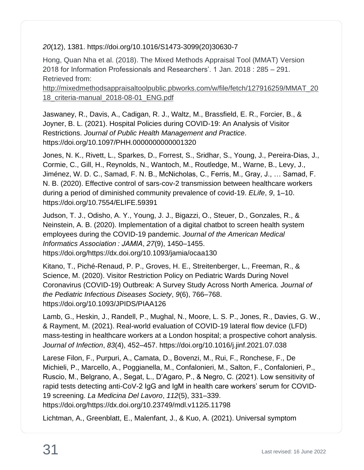#### *20*(12), 1381. https://doi.org/10.1016/S1473-3099(20)30630-7

Hong, Quan Nha et al. (2018). The Mixed Methods Appraisal Tool (MMAT) Version 2018 for Information Professionals and Researchers'. 1 Jan. 2018 : 285 – 291. Retrieved from:

[http://mixedmethodsappraisaltoolpublic.pbworks.com/w/file/fetch/127916259/MMAT\\_20](http://mixedmethodsappraisaltoolpublic.pbworks.com/w/file/fetch/127916259/MMAT_2018_criteria-manual_2018-08-01_ENG.pdf) [18\\_criteria-manual\\_2018-08-01\\_ENG.pdf](http://mixedmethodsappraisaltoolpublic.pbworks.com/w/file/fetch/127916259/MMAT_2018_criteria-manual_2018-08-01_ENG.pdf)

Jaswaney, R., Davis, A., Cadigan, R. J., Waltz, M., Brassfield, E. R., Forcier, B., & Joyner, B. L. (2021). Hospital Policies during COVID-19: An Analysis of Visitor Restrictions. *Journal of Public Health Management and Practice*. https://doi.org/10.1097/PHH.0000000000001320

Jones, N. K., Rivett, L., Sparkes, D., Forrest, S., Sridhar, S., Young, J., Pereira-Dias, J., Cormie, C., Gill, H., Reynolds, N., Wantoch, M., Routledge, M., Warne, B., Levy, J., Jiménez, W. D. C., Samad, F. N. B., McNicholas, C., Ferris, M., Gray, J., … Samad, F. N. B. (2020). Effective control of sars-cov-2 transmission between healthcare workers during a period of diminished community prevalence of covid-19. *ELife*, *9*, 1–10. https://doi.org/10.7554/ELIFE.59391

Judson, T. J., Odisho, A. Y., Young, J. J., Bigazzi, O., Steuer, D., Gonzales, R., & Neinstein, A. B. (2020). Implementation of a digital chatbot to screen health system employees during the COVID-19 pandemic. *Journal of the American Medical Informatics Association : JAMIA*, *27*(9), 1450–1455. https://doi.org/https://dx.doi.org/10.1093/jamia/ocaa130

Kitano, T., Piché-Renaud, P. P., Groves, H. E., Streitenberger, L., Freeman, R., & Science, M. (2020). Visitor Restriction Policy on Pediatric Wards During Novel Coronavirus (COVID-19) Outbreak: A Survey Study Across North America. *Journal of the Pediatric Infectious Diseases Society*, *9*(6), 766–768. https://doi.org/10.1093/JPIDS/PIAA126

Lamb, G., Heskin, J., Randell, P., Mughal, N., Moore, L. S. P., Jones, R., Davies, G. W., & Rayment, M. (2021). Real-world evaluation of COVID-19 lateral flow device (LFD) mass-testing in healthcare workers at a London hospital; a prospective cohort analysis. *Journal of Infection*, *83*(4), 452–457. https://doi.org/10.1016/j.jinf.2021.07.038

Larese Filon, F., Purpuri, A., Camata, D., Bovenzi, M., Rui, F., Ronchese, F., De Michieli, P., Marcello, A., Poggianella, M., Confalonieri, M., Salton, F., Confalonieri, P., Ruscio, M., Belgrano, A., Segat, L., D'Agaro, P., & Negro, C. (2021). Low sensitivity of rapid tests detecting anti-CoV-2 IgG and IgM in health care workers' serum for COVID-19 screening. *La Medicina Del Lavoro*, *112*(5), 331–339. https://doi.org/https://dx.doi.org/10.23749/mdl.v112i5.11798

Lichtman, A., Greenblatt, E., Malenfant, J., & Kuo, A. (2021). Universal symptom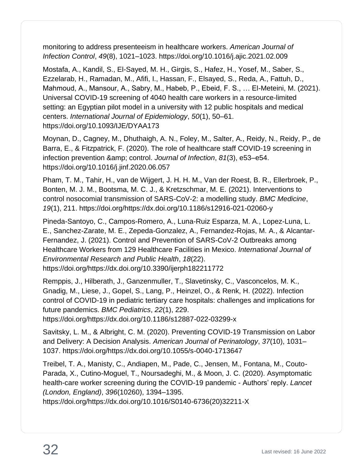monitoring to address presenteeism in healthcare workers. *American Journal of Infection Control*, *49*(8), 1021–1023. https://doi.org/10.1016/j.ajic.2021.02.009

Mostafa, A., Kandil, S., El-Sayed, M. H., Girgis, S., Hafez, H., Yosef, M., Saber, S., Ezzelarab, H., Ramadan, M., Afifi, I., Hassan, F., Elsayed, S., Reda, A., Fattuh, D., Mahmoud, A., Mansour, A., Sabry, M., Habeb, P., Ebeid, F. S., … El-Meteini, M. (2021). Universal COVID-19 screening of 4040 health care workers in a resource-limited setting: an Egyptian pilot model in a university with 12 public hospitals and medical centers. *International Journal of Epidemiology*, *50*(1), 50–61. https://doi.org/10.1093/IJE/DYAA173

Moynan, D., Cagney, M., Dhuthaigh, A. N., Foley, M., Salter, A., Reidy, N., Reidy, P., de Barra, E., & Fitzpatrick, F. (2020). The role of healthcare staff COVID-19 screening in infection prevention & amp; control. *Journal of Infection*, 81(3), e53–e54. https://doi.org/10.1016/j.jinf.2020.06.057

Pham, T. M., Tahir, H., van de Wijgert, J. H. H. M., Van der Roest, B. R., Ellerbroek, P., Bonten, M. J. M., Bootsma, M. C. J., & Kretzschmar, M. E. (2021). Interventions to control nosocomial transmission of SARS-CoV-2: a modelling study. *BMC Medicine*, *19*(1), 211. https://doi.org/https://dx.doi.org/10.1186/s12916-021-02060-y

Pineda-Santoyo, C., Campos-Romero, A., Luna-Ruiz Esparza, M. A., Lopez-Luna, L. E., Sanchez-Zarate, M. E., Zepeda-Gonzalez, A., Fernandez-Rojas, M. A., & Alcantar-Fernandez, J. (2021). Control and Prevention of SARS-CoV-2 Outbreaks among Healthcare Workers from 129 Healthcare Facilities in Mexico. *International Journal of Environmental Research and Public Health*, *18*(22). https://doi.org/https://dx.doi.org/10.3390/ijerph182211772

Remppis, J., Hilberath, J., Ganzenmuller, T., Slavetinsky, C., Vasconcelos, M. K., Gnadig, M., Liese, J., Gopel, S., Lang, P., Heinzel, O., & Renk, H. (2022). Infection control of COVID-19 in pediatric tertiary care hospitals: challenges and implications for future pandemics. *BMC Pediatrics*, *22*(1), 229.

https://doi.org/https://dx.doi.org/10.1186/s12887-022-03299-x

Savitsky, L. M., & Albright, C. M. (2020). Preventing COVID-19 Transmission on Labor and Delivery: A Decision Analysis. *American Journal of Perinatology*, *37*(10), 1031– 1037. https://doi.org/https://dx.doi.org/10.1055/s-0040-1713647

Treibel, T. A., Manisty, C., Andiapen, M., Pade, C., Jensen, M., Fontana, M., Couto-Parada, X., Cutino-Moguel, T., Noursadeghi, M., & Moon, J. C. (2020). Asymptomatic health-care worker screening during the COVID-19 pandemic - Authors' reply. *Lancet (London, England)*, *396*(10260), 1394–1395.

https://doi.org/https://dx.doi.org/10.1016/S0140-6736(20)32211-X